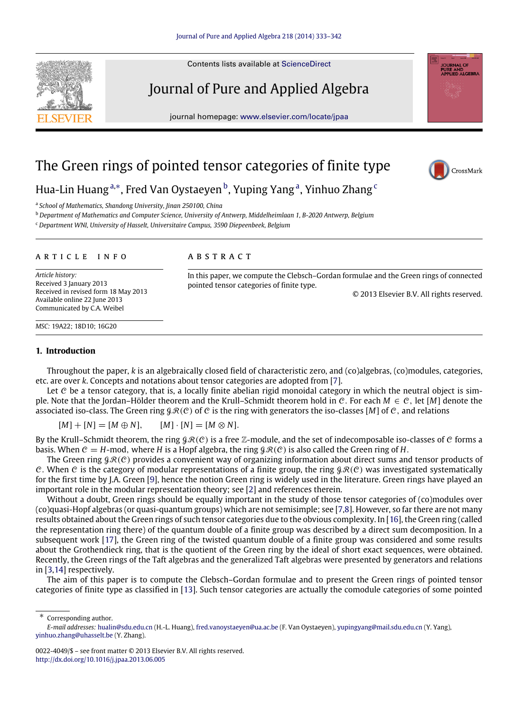Contents lists available at [ScienceDirect](http://www.elsevier.com/locate/jpaa)

Journal of Pure and Applied Algebra

journal homepage: [www.elsevier.com/locate/jpaa](http://www.elsevier.com/locate/jpaa)

# The Green rings of pointed tensor categories of finite type



<span id="page-0-0"></span>a *School of Mathematics, Shandong University, Jinan 250100, China*

<span id="page-0-2"></span><sup>b</sup> *Department of Mathematics and Computer Science, University of Antwerp, Middelheimlaan 1, B-2020 Antwerp, Belgium*

<span id="page-0-3"></span><sup>c</sup> *Department WNI, University of Hasselt, Universitaire Campus, 3590 Diepeenbeek, Belgium*

### a r t i c l e i n f o

Received in revised form 18 May 2013 Available online 22 June 2013 Communicated by C.A. Weibel

# a b s t r a c t

In this paper, we compute the Clebsch–Gordan formulae and the Green rings of connected pointed tensor categories of finite type.

© 2013 Elsevier B.V. All rights reserved.

*MSC:* 19A22; 18D10; 16G20

# **1. Introduction**

*Article history:* Received 3 January 2013

Throughout the paper, *k* is an algebraically closed field of characteristic zero, and (co)algebras, (co)modules, categories, etc. are over *k*. Concepts and notations about tensor categories are adopted from [\[7\]](#page-9-0).

Let  $C$  be a tensor category, that is, a locally finite abelian rigid monoidal category in which the neutral object is simple. Note that the Jordan–Hölder theorem and the Krull–Schmidt theorem hold in C. For each *M* ∈ C, let [*M*] denote the associated iso-class. The Green ring  $\mathcal{GR}(C)$  of C is the ring with generators the iso-classes [M] of C, and relations

 $[M] + [N] = [M \oplus N],$   $[M] \cdot [N] = [M \otimes N].$ 

By the Krull–Schmidt theorem, the ring  $\mathcal{GR}(C)$  is a free Z-module, and the set of indecomposable iso-classes of C forms a basis. When  $C = H$ -mod, where *H* is a Hopf algebra, the ring  $\mathcal{GR}(C)$  is also called the Green ring of *H*.

The Green ring  $\mathcal{GR}(\mathcal{C})$  provides a convenient way of organizing information about direct sums and tensor products of C. When C is the category of modular representations of a finite group, the ring  $\mathcal{GR}(C)$  was investigated systematically for the first time by J.A. Green [\[9\]](#page-9-1), hence the notion Green ring is widely used in the literature. Green rings have played an important role in the modular representation theory; see [\[2\]](#page-9-2) and references therein.

Without a doubt, Green rings should be equally important in the study of those tensor categories of (co)modules over (co)quasi-Hopf algebras (or quasi-quantum groups) which are not semisimple; see [\[7,](#page-9-0)[8\]](#page-9-3). However, so far there are not many results obtained about the Green rings of such tensor categories due to the obvious complexity. In [\[16\]](#page-9-4), the Green ring (called the representation ring there) of the quantum double of a finite group was described by a direct sum decomposition. In a subsequent work [\[17\]](#page-9-5), the Green ring of the twisted quantum double of a finite group was considered and some results about the Grothendieck ring, that is the quotient of the Green ring by the ideal of short exact sequences, were obtained. Recently, the Green rings of the Taft algebras and the generalized Taft algebras were presented by generators and relations in [\[3,](#page-9-6)[14\]](#page-9-7) respectively.

The aim of this paper is to compute the Clebsch–Gordan formulae and to present the Green rings of pointed tensor categories of finite type as classified in [\[13\]](#page-9-8). Such tensor categories are actually the comodule categories of some pointed

<span id="page-0-1"></span>∗ Corresponding author.





CrossMark



*E-mail addresses:* [hualin@sdu.edu.cn](mailto:hualin@sdu.edu.cn) (H.-L. Huang), [fred.vanoystaeyen@ua.ac.be](mailto:fred.vanoystaeyen@ua.ac.be) (F. Van Oystaeyen), [yupingyang@mail.sdu.edu.cn](mailto:yupingyang@mail.sdu.edu.cn) (Y. Yang), [yinhuo.zhang@uhasselt.be](mailto:yinhuo.zhang@uhasselt.be) (Y. Zhang).

<sup>0022-4049/\$ –</sup> see front matter © 2013 Elsevier B.V. All rights reserved. <http://dx.doi.org/10.1016/j.jpaa.2013.06.005>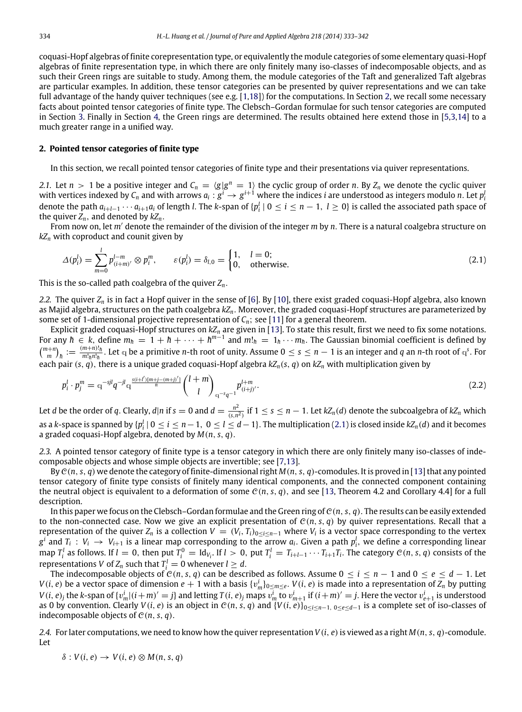coquasi-Hopf algebras of finite corepresentation type, or equivalently the module categories of some elementary quasi-Hopf algebras of finite representation type, in which there are only finitely many iso-classes of indecomposable objects, and as such their Green rings are suitable to study. Among them, the module categories of the Taft and generalized Taft algebras are particular examples. In addition, these tensor categories can be presented by quiver representations and we can take full advantage of the handy quiver techniques (see e.g. [\[1,](#page-9-9)[18\]](#page-9-10)) for the computations. In Section [2,](#page-1-0) we recall some necessary facts about pointed tensor categories of finite type. The Clebsch–Gordan formulae for such tensor categories are computed in Section [3.](#page-2-0) Finally in Section [4,](#page-7-0) the Green rings are determined. The results obtained here extend those in [\[5](#page-9-11)[,3](#page-9-6)[,14\]](#page-9-7) to a much greater range in a unified way.

## <span id="page-1-0"></span>**2. Pointed tensor categories of finite type**

In this section, we recall pointed tensor categories of finite type and their presentations via quiver representations.

2.1. Let  $n > 1$  be a positive integer and  $C_n = \langle g | g^n = 1 \rangle$  the cyclic group of order *n*. By  $Z_n$  we denote the cyclic quiver with vertices indexed by  $C_n$  and with arrows  $a_i: g^i \to g^{i+1}$  where the indices *i* are understood as integers modulo *n*. Let *p* denote the path  $a_{i+l-1}\cdots a_{i+1}a_i$  of length *l*. The *k*-span of { $p_i^l \mid 0 \le i \le n-1$ ,  $l \ge 0$ } is called the associated path space of the quiver *Zn*, and denoted by *kZn*.

From now on, let *m*′ denote the remainder of the division of the integer *m* by *n*. There is a natural coalgebra structure on *kZ<sup>n</sup>* with coproduct and counit given by

<span id="page-1-1"></span>
$$
\Delta(p_i^l) = \sum_{m=0}^l p_{(i+m)}^{l-m} \otimes p_i^m, \qquad \varepsilon(p_i^l) = \delta_{l,0} = \begin{cases} 1, & l=0; \\ 0, & \text{otherwise.} \end{cases}
$$
 (2.1)

This is the so-called path coalgebra of the quiver *Zn*.

*2.2.* The quiver *Z<sup>n</sup>* is in fact a Hopf quiver in the sense of [\[6\]](#page-9-12). By [\[10\]](#page-9-13), there exist graded coquasi-Hopf algebra, also known as Majid algebra, structures on the path coalgebra *kZn*. Moreover, the graded coquasi-Hopf structures are parameterized by some set of 1-dimensional projective representation of *Cn*; see [\[11\]](#page-9-14) for a general theorem.

Explicit graded coquasi-Hopf structures on *kZ<sup>n</sup>* are given in [\[13\]](#page-9-8). To state this result, first we need to fix some notations. For any  $\hbar \in k$ , define  $m_h = 1 + \hbar + \cdots + \hbar^{m-1}$  and  $m!_h = 1_h \cdots m_h$ . The Gaussian binomial coefficient is defined by  $\binom{m+n}{m}_{h} := \frac{(m+n)!_{h}}{m!_{h}n!_{h}}$  $\frac{m+n}{n!_h n!_h}$ . Let q be a primitive *n*-th root of unity. Assume  $0 \le s \le n-1$  is an integer and *q* an *n*-th root of  $q^s$ . For each pair  $(s, q)$ , there is a unique graded coquasi-Hopf algebra  $kZ_n(s, q)$  on  $kZ_n$  with multiplication given by

<span id="page-1-2"></span>
$$
p_i^l \cdot p_j^m = \mathbf{q}^{-sjl} q^{-jl} \mathbf{q}^{\frac{s(i+l')[m+j-(m+j)]}{n}} \binom{l+m}{l}_{\mathbf{q}^{-s}q^{-1}} p_{(i+j)'}^{l+m}.
$$
\n(2.2)

Let *d* be the order of *q*. Clearly, *d*|*n* if *s* = 0 and *d* =  $\frac{n^2}{(5 \pi)^2}$  $\frac{n^2}{(s,n^2)}$  if 1 ≤ *s* ≤ *n* − 1. Let *kZ<sub>n</sub>*(*d*) denote the subcoalgebra of *kZ<sub>n</sub>* which as a *k*-space is spanned by  $\{p_i^l | 0 \le i \le n-1, 0 \le l \le d-1\}$ . The multiplication [\(2.1\)](#page-1-1) is closed inside *kZ<sub>n</sub>*(*d*) and it becomes a graded coquasi-Hopf algebra, denoted by *M*(*n*, *s*, *q*).

<span id="page-1-3"></span>*2.3.* A pointed tensor category of finite type is a tensor category in which there are only finitely many iso-classes of indecomposable objects and whose simple objects are invertible; see [\[7](#page-9-0)[,13\]](#page-9-8).

By  $\mathcal{C}(n, s, q)$  we denote the category of finite-dimensional right  $M(n, s, q)$ -comodules. It is proved in [\[13\]](#page-9-8) that any pointed tensor category of finite type consists of finitely many identical components, and the connected component containing the neutral object is equivalent to a deformation of some  $C(n, s, q)$ , and see [\[13,](#page-9-8) Theorem 4.2 and Corollary 4.4] for a full description.

In this paper we focus on the Clebsch–Gordan formulae and the Green ring of  $C(n, s, q)$ . The results can be easily extended to the non-connected case. Now we give an explicit presentation of  $C(n, s, q)$  by quiver representations. Recall that a representation of the quiver  $Z_n$  is a collection  $V = (V_i, T_i)_{0 \le i \le n-1}$  where  $V_i$  is a vector space corresponding to the vertex  $g^i$  and  $T_i$  :  $V_i$   $\to$   $V_{i+1}$  is a linear map corresponding to the arrow  $a_i$ . Given a path  $p^l_i$ , we define a corresponding linear map  $T_i^l$  as follows. If  $l=0$ , then put  $T_i^0=Id_{V_i}$ . If  $l>0$ , put  $T_i^l=T_{i+l-1}\cdots T_{i+1}T_i$ . The category  $\mathcal{C}(n,s,q)$  consists of the representations *V* of  $Z_n$  such that  $T_i^l = 0$  whenever  $l \geq d$ .

The indecomposable objects of  $\mathcal{C}(n, s, q)$  can be described as follows. Assume  $0 \le i \le n - 1$  and  $0 \le e \le d - 1$ . Let *V*(*i*, *e*) be a vector space of dimension *e* + 1 with a basis  $\{v_m^i\}_{0\leq m\leq e}$ . *V*(*i*, *e*) is made into a representation of  $Z_n$  by putting  $V(i,e)_j$  the k-span of  $\{v_m^i|(i+m)'=j\}$  and letting  $T(i,e)_j$  maps  $v_m^i$  to  $v_{m+1}^i$  if  $(i+m)'=j$ . Here the vector  $v_{e+1}^i$  is understood as 0 by convention. Clearly  $V(i, e)$  is an object in  $C(n, s, q)$  and  $\{V(i, e)\}_{0 \le i \le n-1, 0 \le e \le d-1}$  is a complete set of iso-classes of indecomposable objects of  $C(n, s, q)$ .

*2.4.* For later computations, we need to know how the quiver representation *V*(*i*, *e*)is viewed as a right *M*(*n*, *s*, *q*)-comodule. Let

$$
\delta: V(i, e) \to V(i, e) \otimes M(n, s, q)
$$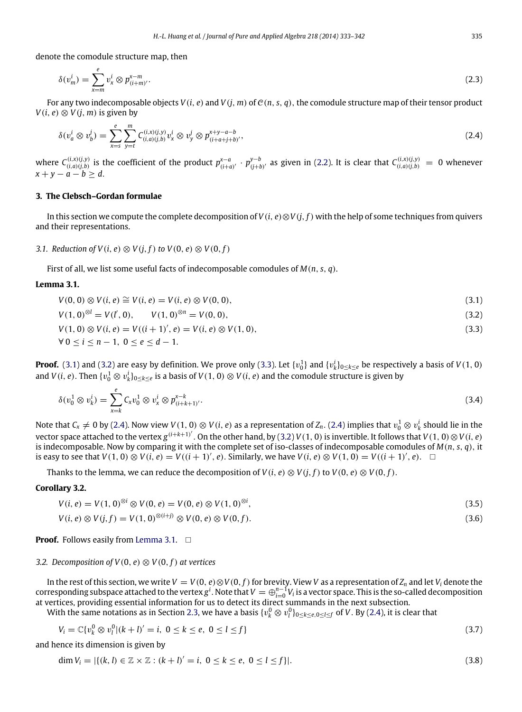denote the comodule structure map, then

$$
\delta(v_m^i) = \sum_{x=m}^e v_x^i \otimes p_{(i+m)}^{x-m}.
$$
\n(2.3)

For any two indecomposable objects  $V(i, e)$  and  $V(i, m)$  of  $C(n, s, q)$ , the comodule structure map of their tensor product *V*(*i*, *e*) ⊗ *V*(*j*, *m*) is given by

<span id="page-2-4"></span>
$$
\delta(v_a^i \otimes v_b^j) = \sum_{x=s}^e \sum_{y=t}^m C_{(i,a)(j,b)}^{(i,x)(j,y)} v_x^i \otimes v_y^j \otimes p_{(i+a+j+b)}^{x+y-a-b}, \tag{2.4}
$$

where  $C_{(i,a)(j,b)}^{(i,x)(j,y)}$  is the coefficient of the product  $p_{(i+a)'}^{x-a}$   $\cdot$   $p_{(j+b)'}^{y-b}$  as given in [\(2.2\)](#page-1-2). It is clear that  $C_{(i,a)(j,b)}^{(i,x)(j,y)} = 0$  whenever *x* + *y* − *a* − *b* ≥ *d*.

## <span id="page-2-0"></span>**3. The Clebsch–Gordan formulae**

In this section we compute the complete decomposition of *V*(*i*, *e*)⊗*V*(*j*, *f*) with the help of some techniques from quivers and their representations.

*3.1. Reduction of V*(*i*, *e*)  $\otimes$  *V*(*i*, *f*) *to V*(0, *e*)  $\otimes$  *V*(0, *f*)

First of all, we list some useful facts of indecomposable comodules of *M*(*n*, *s*, *q*).

## <span id="page-2-5"></span>**Lemma 3.1.**

<span id="page-2-2"></span><span id="page-2-1"></span>
$$
V(0,0) \otimes V(i,e) \cong V(i,e) = V(i,e) \otimes V(0,0), \tag{3.1}
$$

$$
V(1,0)^{\otimes l} = V(l',0), \qquad V(1,0)^{\otimes n} = V(0,0), \tag{3.2}
$$

<span id="page-2-3"></span>
$$
V(1,0) \otimes V(i,e) = V((i+1)',e) = V(i,e) \otimes V(1,0), \qquad (3.3)
$$

$$
\forall 0 \leq i \leq n-1, \ 0 \leq e \leq d-1.
$$

**Proof.** [\(3.1\)](#page-2-1) and [\(3.2\)](#page-2-2) are easy by definition. We prove only [\(3.3\)](#page-2-3). Let  $\{v_0^1\}$  and  $\{v_k^i\}_{0\leq k\leq e}$  be respectively a basis of  $V(1,0)$ and  $V(i, e)$ . Then  $\{v_0^1 \otimes v_k^i\}_{0 \le k \le e}$  is a basis of  $V(1, 0) \otimes V(i, e)$  and the comodule structure is given by

$$
\delta(v_0^1 \otimes v_k^i) = \sum_{x=k}^e C_x v_0^1 \otimes v_x^i \otimes p_{(i+k+1)}^{x-k}.
$$
\n(3.4)

Note that  $C_x \neq 0$  by [\(2.4\)](#page-2-4). Now view  $V(1,0) \otimes V(i,e)$  as a representation of  $Z_n$ . (2.4) implies that  $v_0^1 \otimes v_k^i$  should lie in the vector space attached to the vertex  $g^{(i+k+1)'}$ . On the other hand, by [\(3.2\)](#page-2-2) *V*(1, 0) is invertible. It follows that *V*(1, 0)⊗*V*(*i*, *e*) is indecomposable. Now by comparing it with the complete set of iso-classes of indecomposable comodules of *M*(*n*, *s*, *q*), it is easy to see that *V*(1, 0) ⊗ *V*(*i*, *e*) = *V*((*i* + 1)', *e*). Similarly, we have *V*(*i*, *e*) ⊗ *V*(1, 0) = *V*((*i* + 1)', *e*). □

Thanks to the lemma, we can reduce the decomposition of  $V(i, e) \otimes V(i, f)$  to  $V(0, e) \otimes V(0, f)$ .

# **Corollary 3.2.**

$$
V(i, e) = V(1, 0)^{\otimes i} \otimes V(0, e) = V(0, e) \otimes V(1, 0)^{\otimes i}, \tag{3.5}
$$

$$
V(i, e) \otimes V(j, f) = V(1, 0)^{\otimes (i+j)} \otimes V(0, e) \otimes V(0, f). \tag{3.6}
$$

**Proof.** Follows easily from [Lemma](#page-2-5) [3.1.](#page-2-5) □

## *3.2. Decomposition of V*(0, *e*) ⊗ *V*(0, *f*) *at vertices*

In the rest of this section, we write  $V = V(0, e) \otimes V(0, f)$  for brevity. View *V* as a representation of  $Z_n$  and let  $V_i$  denote the  $\cot$  corresponding subspace attached to the vertex  $g^i$ . Note that  $V=\oplus_{i=0}^{n-1}V_i$  is a vector space. This is the so-called decomposition at vertices, providing essential information for us to detect its direct summands in the next subsection.

With the same notations as in Section [2.3,](#page-1-3) we have a basis  $\{v_k^0\otimes v_l^0\}_{0\le k\le e,0\le l\le f}$  of  $V.$  By [\(2.4\)](#page-2-4), it is clear that

$$
V_i = \mathbb{C}\{v_k^0 \otimes v_l^0 | (k+l)' = i, \ 0 \le k \le e, \ 0 \le l \le f\}
$$
\n(3.7)

and hence its dimension is given by

$$
\dim V_i = |\{(k, l) \in \mathbb{Z} \times \mathbb{Z} : (k + l)' = i, 0 \le k \le e, 0 \le l \le f\}|. \tag{3.8}
$$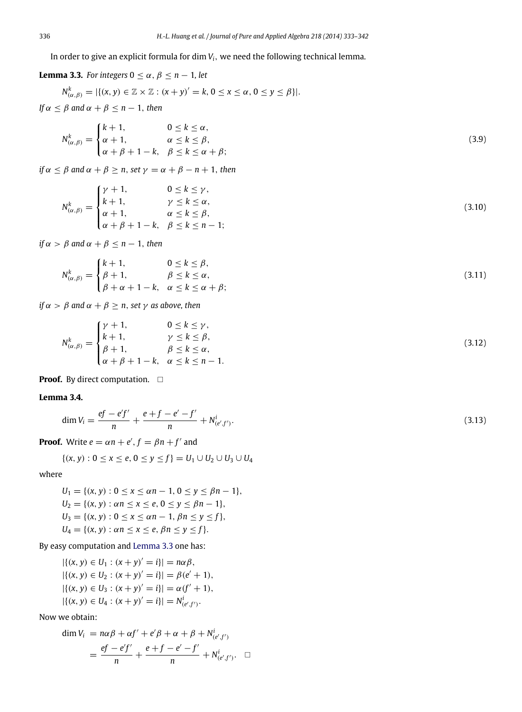In order to give an explicit formula for dim *Vi*, we need the following technical lemma.

<span id="page-3-0"></span>**Lemma 3.3.** *For integers*  $0 \le \alpha$ ,  $\beta \le n - 1$ *, let* 

 $N_{(\alpha,\beta)}^k = |\{(x, y) \in \mathbb{Z} \times \mathbb{Z} : (x + y)' = k, 0 \le x \le \alpha, 0 \le y \le \beta\}|.$ *If*  $\alpha$  <  $\beta$  *and*  $\alpha$  +  $\beta$  < *n* − 1, *then* 

$$
N_{(\alpha,\beta)}^k = \begin{cases} k+1, & 0 \le k \le \alpha, \\ \alpha+1, & \alpha \le k \le \beta, \\ \alpha+\beta+1-k, & \beta \le k \le \alpha+\beta; \end{cases}
$$
 (3.9)

*if*  $\alpha < \beta$  *and*  $\alpha + \beta > n$ , *set*  $\gamma = \alpha + \beta - n + 1$ , *then* 

$$
N_{(\alpha,\beta)}^k = \begin{cases} \gamma + 1, & 0 \le k \le \gamma, \\ k + 1, & \gamma \le k \le \alpha, \\ \alpha + 1, & \alpha \le k \le \beta, \\ \alpha + \beta + 1 - k, & \beta \le k \le n - 1; \end{cases}
$$
(3.10)

*if*  $\alpha > \beta$  *and*  $\alpha + \beta \leq n - 1$ *, then* 

$$
N_{(\alpha,\beta)}^k = \begin{cases} k+1, & 0 \le k \le \beta, \\ \beta+1, & \beta \le k \le \alpha, \\ \beta+\alpha+1-k, & \alpha \le k \le \alpha+\beta; \end{cases}
$$
 (3.11)

*if*  $\alpha > \beta$  *and*  $\alpha + \beta \geq n$ *, set*  $\gamma$  *as above, then* 

$$
N_{(\alpha,\beta)}^k = \begin{cases} \gamma + 1, & 0 \le k \le \gamma, \\ k + 1, & \gamma \le k \le \beta, \\ \beta + 1, & \beta \le k \le \alpha, \\ \alpha + \beta + 1 - k, & \alpha \le k \le n - 1. \end{cases}
$$
(3.12)

**Proof.** By direct computation.  $\Box$ 

# **Lemma 3.4.**

$$
\dim V_i = \frac{ef - e'f'}{n} + \frac{e + f - e' - f'}{n} + N^i_{(e',f')}.
$$
\n(3.13)

**Proof.** Write  $e = \alpha n + e'$ ,  $f = \beta n + f'$  and

$$
\{(x, y) : 0 \le x \le e, 0 \le y \le f\} = U_1 \cup U_2 \cup U_3 \cup U_4
$$

where

$$
U_1 = \{(x, y) : 0 \le x \le \alpha n - 1, 0 \le y \le \beta n - 1\},
$$
  
\n
$$
U_2 = \{(x, y) : \alpha n \le x \le e, 0 \le y \le \beta n - 1\},
$$
  
\n
$$
U_3 = \{(x, y) : 0 \le x \le \alpha n - 1, \beta n \le y \le f\},
$$
  
\n
$$
U_4 = \{(x, y) : \alpha n \le x \le e, \beta n \le y \le f\}.
$$

By easy computation and [Lemma](#page-3-0) [3.3](#page-3-0) one has:

$$
|\{(x, y) \in U_1 : (x + y)' = i\}| = n\alpha\beta,
$$
  
 
$$
|\{(x, y) \in U_2 : (x + y)' = i\}| = \beta(e' + 1),
$$
  
 
$$
|\{(x, y) \in U_3 : (x + y)' = i\}| = \alpha(f' + 1),
$$
  
 
$$
|\{(x, y) \in U_4 : (x + y)' = i\}| = N^i_{(e', f')}.
$$

Now we obtain:

$$
\dim V_i = n\alpha\beta + \alpha f' + e'\beta + \alpha + \beta + N^i_{(e',f')}
$$
  
= 
$$
\frac{ef - e'f'}{n} + \frac{e + f - e' - f'}{n} + N^i_{(e',f')}.
$$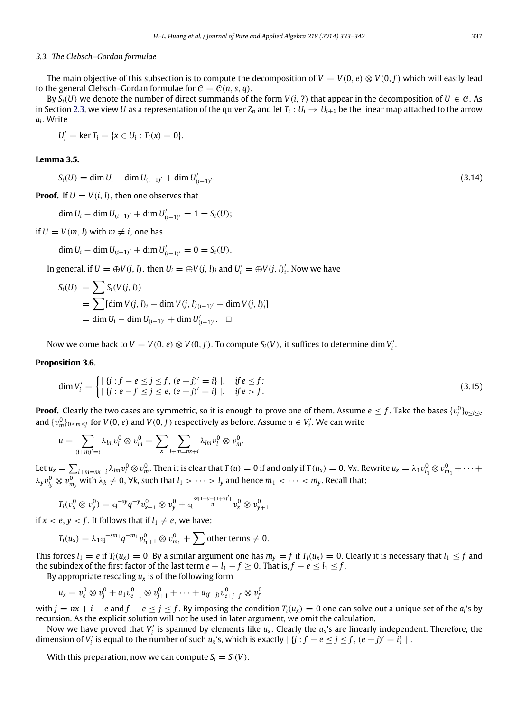## *3.3. The Clebsch–Gordan formulae*

The main objective of this subsection is to compute the decomposition of  $V = V(0, e) \otimes V(0, f)$  which will easily lead to the general Clebsch–Gordan formulae for  $C = C(n, s, q)$ .

By  $S_i(U)$  we denote the number of direct summands of the form  $V(i, ?)$  that appear in the decomposition of  $U \in \mathcal{C}$ . As in Section [2.3,](#page-1-3) we view U as a representation of the quiver  $Z_n$  and let  $T_i:U_i\to U_{i+1}$  be the linear map attached to the arrow *ai* . Write

 $U'_i = \ker T_i = \{x \in U_i : T_i(x) = 0\}.$ 

# <span id="page-4-0"></span>**Lemma 3.5.**

$$
S_i(U) = \dim U_i - \dim U_{(i-1)'} + \dim U'_{(i-1)'}.
$$
\n(3.14)

**Proof.** If  $U = V(i, l)$ , then one observes that

$$
\dim U_i - \dim U_{(i-1)'} + \dim U'_{(i-1)'} = 1 = S_i(U);
$$

if  $U = V(m, l)$  with  $m \neq i$ , one has

$$
\dim U_i - \dim U_{(i-1)'} + \dim U'_{(i-1)'} = 0 = S_i(U).
$$

In general, if  $U = \bigoplus V(j, l)$ , then  $U_i = \bigoplus V(j, l)_i$  and  $U'_i = \bigoplus V(j, l)'_i$ . Now we have

$$
S_i(U) = \sum S_i(V(j, l))
$$
  
=  $\sum [\text{dim } V(j, l)_i - \text{dim } V(j, l)_{(i-1)'} + \text{dim } V(j, l)_{i'}']$   
=  $\text{dim } U_i - \text{dim } U_{(i-1)'} + \text{dim } U'_{(i-1)'}.$ 

Now we come back to  $V = V(0, e) \otimes V(0, f)$ . To compute  $S_i(V)$ , it suffices to determine dim  $V'_i$ .

## <span id="page-4-1"></span>**Proposition 3.6.**

$$
\dim V_i' = \begin{cases} |\{j : f - e \le j \le f, (e + j)' = i\}|, & \text{if } e \le f; \\ |\{j : e - f \le j \le e, (e + j)' = i\}|, & \text{if } e > f. \end{cases} \tag{3.15}
$$

**Proof.** Clearly the two cases are symmetric, so it is enough to prove one of them. Assume  $e \leq f$  . Take the bases  $\{v^0_l\}_{0\leq l\leq e}$ and  $\{v_m^0\}_{0\leq m\leq f}$  for  $V(0, e)$  and  $V(0, f)$  respectively as before. Assume  $u \in V_i'.$  We can write

$$
u=\sum_{(l+m)'=i}\lambda_{lm}v_l^0\otimes v_m^0=\sum_{x}\sum_{l+m=nx+i}\lambda_{lm}v_l^0\otimes v_m^0.
$$

Let  $u_x = \sum_{l+m=nx+i} \lambda_{lm} v_l^0 \otimes v_m^0$ . Then it is clear that  $T(u) = 0$  if and only if  $T(u_x) = 0$ ,  $\forall x$ . Rewrite  $u_x = \lambda_1 v_{l_1}^0 \otimes v_{m_1}^0 + \cdots$  $\lambda_yv_{l_y}^0\otimes v_{m_y}^0$  with  $\lambda_k\neq 0$ ,  $\forall k$ , such that  $l_1>\cdots>l_y$  and hence  $m_1<\cdots< m_y.$  Recall that:

$$
T_i(\nu_x^0 \otimes \nu_y^0) = q^{-sy} q^{-y} \nu_{x+1}^0 \otimes \nu_y^0 + q^{\frac{sx(1+y-(1+y)')}{n}} \nu_x^0 \otimes \nu_{y+1}^0
$$

if  $x < e, y < f$ . It follows that if  $l_1 \neq e$ , we have:

$$
T_i(u_x) = \lambda_1 \mathbf{q}^{-sm_1} q^{-m_1} v_{i_1+1}^0 \otimes v_{m_1}^0 + \sum \text{other terms} \neq 0.
$$

This forces  $l_1 = e$  if  $T_i(u_x) = 0$ . By a similar argument one has  $m_y = f$  if  $T_i(u_x) = 0$ . Clearly it is necessary that  $l_1 \leq f$  and the subindex of the first factor of the last term  $e + l_1 - f \ge 0$ . That is,  $f - e \le l_1 \le f$ .

By appropriate rescaling  $u_x$  is of the following form

$$
u_x = v_e^0 \otimes v_j^0 + a_1 v_{e-1}^0 \otimes v_{j+1}^0 + \cdots + a_{(f-j)} v_{e+j-f}^0 \otimes v_j^0
$$

with  $j = nx + i - e$  and  $f - e \leq j \leq f$ . By imposing the condition  $T_i(u_x) = 0$  one can solve out a unique set of the  $a_i$ 's by recursion. As the explicit solution will not be used in later argument, we omit the calculation.

Now we have proved that  $V_i'$  is spanned by elements like  $u_x$ . Clearly the  $u_x$ 's are linearly independent. Therefore, the dimension of *V*<sup>*i*</sup> is equal to the number of such *u*<sub>*x*</sub>'s, which is exactly | {*j* : *f* − *e* ≤ *j* ≤ *f* , (*e* + *j*)<sup>*'*</sup> = *i*} | . □

<span id="page-4-2"></span>With this preparation, now we can compute  $S_i = S_i(V)$ .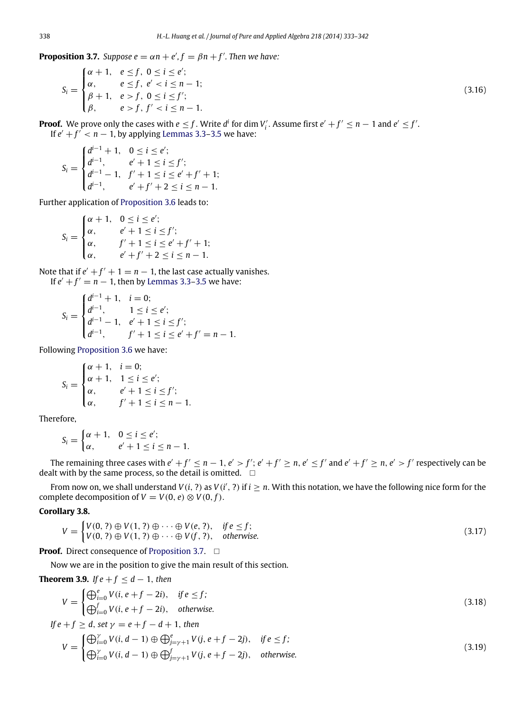**Proposition 3.7.** *Suppose e* =  $\alpha n + e^{\prime}$ ,  $f = \beta n + f^{\prime}$ . *Then we have:* 

$$
S_i = \begin{cases} \alpha + 1, & e \le f, \ 0 \le i \le e'; \\ \alpha, & e \le f, \ e' < i \le n - 1; \\ \beta + 1, & e > f, \ 0 \le i \le f'; \\ \beta, & e > f, \ f' < i \le n - 1. \end{cases} \tag{3.16}
$$

**Proof.** We prove only the cases with  $e \leq f$ . Write  $d^i$  for dim  $V'_i$ . Assume first  $e' + f' \leq n - 1$  and  $e' \leq f'$ . If  $e' + f' < n - 1$ , by applying [Lemmas](#page-3-0) [3.3–](#page-3-0)[3.5](#page-4-0) we have:

$$
S_i = \begin{cases} d^{i-1} + 1, & 0 \le i \le e'; \\ d^{i-1}, & e' + 1 \le i \le f'; \\ d^{i-1} - 1, & f' + 1 \le i \le e' + f' + 1; \\ d^{i-1}, & e' + f' + 2 \le i \le n - 1. \end{cases}
$$

Further application of [Proposition](#page-4-1) [3.6](#page-4-1) leads to:

$$
S_i = \begin{cases} \alpha + 1, & 0 \le i \le e'; \\ \alpha, & e' + 1 \le i \le f'; \\ \alpha, & f' + 1 \le i \le e' + f' + 1; \\ \alpha, & e' + f' + 2 \le i \le n - 1. \end{cases}
$$

Note that if  $e' + f' + 1 = n - 1$ , the last case actually vanishes. If  $e' + f' = n - 1$ , then by [Lemmas](#page-3-0) [3.3](#page-3-0)[–3.5](#page-4-0) we have:

$$
S_i = \begin{cases} d^{i-1} + 1, & i = 0; \\ d^{i-1}, & 1 \le i \le e'; \\ d^{i-1} - 1, & e' + 1 \le i \le f'; \\ d^{i-1}, & f' + 1 \le i \le e' + f' = n - 1. \end{cases}
$$

Following [Proposition](#page-4-1) [3.6](#page-4-1) we have:

$$
S_i = \begin{cases} \alpha + 1, & i = 0; \\ \alpha + 1, & 1 \le i \le e'; \\ \alpha, & e' + 1 \le i \le f'; \\ \alpha, & f' + 1 \le i \le n - 1. \end{cases}
$$

Therefore,

$$
S_i = \begin{cases} \alpha + 1, & 0 \leq i \leq e'; \\ \alpha, & e' + 1 \leq i \leq n - 1. \end{cases}
$$

The remaining three cases with  $e' + f' \le n - 1$ ,  $e' > f'$ ;  $e' + f' \ge n$ ,  $e' \le f'$  and  $e' + f' \ge n$ ,  $e' > f'$  respectively can be dealt with by the same process, so the detail is omitted.  $\square$ 

From now on, we shall understand  $V(i, ?)$  as  $V(i', ?)$  if  $i \geq n$ . With this notation, we have the following nice form for the complete decomposition of *V* = *V*(0, *e*)  $\otimes$  *V*(0, *f*).

# <span id="page-5-0"></span>**Corollary 3.8.**

$$
V = \begin{cases} V(0, 2) \oplus V(1, 2) \oplus \cdots \oplus V(e, 2), & \text{if } e \le f; \\ V(0, 2) \oplus V(1, 2) \oplus \cdots \oplus V(f, 2), & \text{otherwise.} \end{cases} \tag{3.17}
$$

**Proof.** Direct consequence of [Proposition](#page-4-2) [3.7.](#page-4-2) □

Now we are in the position to give the main result of this section.

<span id="page-5-1"></span>**Theorem 3.9.** *If*  $e + f \le d - 1$ *, then* 

$$
V = \begin{cases} \bigoplus_{i=0}^{e} V(i, e+f-2i), & \text{if } e \le f; \\ \bigoplus_{i=0}^{f} V(i, e+f-2i), & \text{otherwise.} \end{cases} \tag{3.18}
$$

If 
$$
e + f \ge d
$$
, set  $\gamma = e + f - d + 1$ , then  
\n
$$
V = \begin{cases} \bigoplus_{i=0}^{y} V(i, d-1) \oplus \bigoplus_{j=y+1}^{e} V(j, e+f-2j), & \text{if } e \le f; \\ \bigoplus_{i=0}^{y} V(i, d-1) \oplus \bigoplus_{j=y+1}^{f} V(j, e+f-2j), & \text{otherwise.} \end{cases}
$$
\n(3.19)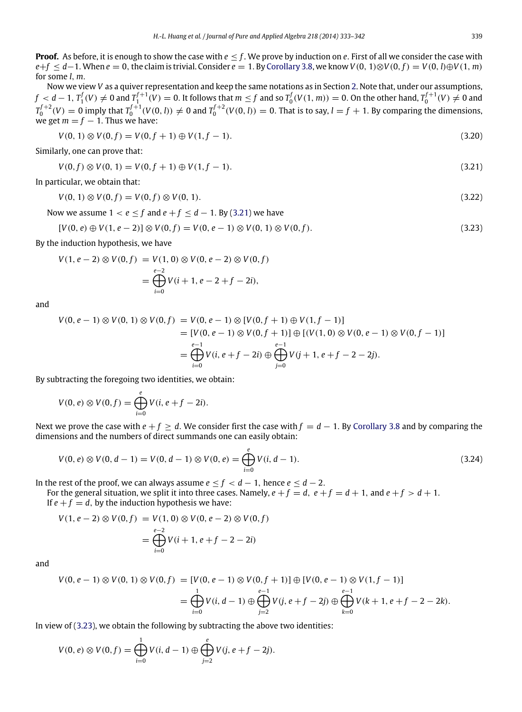**Proof.** As before, it is enough to show the case with *e* ≤ *f* . We prove by induction on *e*. First of all we consider the case with  $e+f \leq d-1$ . When  $e = 0$ , the claim is trivial. Consider  $e = 1$ . By [Corollary](#page-5-0) [3.8,](#page-5-0) we know  $V(0, 1) \otimes V(0, f) = V(0, l) \oplus V(1, m)$ for some *l*, *m*.

Now we view *V* as a quiver representation and keep the same notations as in Section [2.](#page-1-0) Note that, under our assumptions,  $f < d-1,$   $T_1^f(V) \neq 0$  and  $T_1^{f+1}(V) = 0.$  It follows that  $m \leq f$  and so  $T_0^f(V(1,m)) = 0.$  On the other hand,  $T_0^{f+1}(V) \neq 0$  and  $T_0^{f+2}(V)=0$  imply that  $T_0^{f+1}(V(0,l))\neq 0$  and  $T_0^{f+2}(V(0,l))=0$ . That is to say,  $l=f+1$ . By comparing the dimensions, we get  $m = f - 1$ . Thus we have:

<span id="page-6-2"></span><span id="page-6-0"></span>
$$
V(0, 1) \otimes V(0, f) = V(0, f + 1) \oplus V(1, f - 1).
$$
\n(3.20)

Similarly, one can prove that:

$$
V(0, f) \otimes V(0, 1) = V(0, f + 1) \oplus V(1, f - 1).
$$
\n(3.21)

In particular, we obtain that:

$$
V(0, 1) \otimes V(0, f) = V(0, f) \otimes V(0, 1). \tag{3.22}
$$

Now we assume  $1 < e \leq f$  and  $e + f \leq d - 1$ . By [\(3.21\)](#page-6-0) we have

<span id="page-6-1"></span>
$$
[V(0, e) \oplus V(1, e-2)] \otimes V(0, f) = V(0, e-1) \otimes V(0, 1) \otimes V(0, f).
$$
\n(3.23)

By the induction hypothesis, we have

$$
V(1, e-2) \otimes V(0, f) = V(1, 0) \otimes V(0, e-2) \otimes V(0, f)
$$
  
= 
$$
\bigoplus_{i=0}^{e-2} V(i+1, e-2+f-2i),
$$

and

$$
V(0, e - 1) \otimes V(0, 1) \otimes V(0, f) = V(0, e - 1) \otimes [V(0, f + 1) \oplus V(1, f - 1)]
$$
  
= 
$$
[V(0, e - 1) \otimes V(0, f + 1)] \oplus [(V(1, 0) \otimes V(0, e - 1) \otimes V(0, f - 1)]
$$
  
= 
$$
\bigoplus_{i=0}^{e-1} V(i, e + f - 2i) \oplus \bigoplus_{j=0}^{e-1} V(j + 1, e + f - 2 - 2j).
$$

By subtracting the foregoing two identities, we obtain:

$$
V(0, e) \otimes V(0, f) = \bigoplus_{i=0}^{e} V(i, e + f - 2i).
$$

Next we prove the case with *e* + *f* ≥ *d*. We consider first the case with *f* = *d* − 1. By [Corollary](#page-5-0) [3.8](#page-5-0) and by comparing the dimensions and the numbers of direct summands one can easily obtain:

<span id="page-6-3"></span>
$$
V(0, e) \otimes V(0, d-1) = V(0, d-1) \otimes V(0, e) = \bigoplus_{i=0}^{e} V(i, d-1).
$$
 (3.24)

In the rest of the proof, we can always assume  $e \le f < d-1$ , hence  $e \le d-2$ .

For the general situation, we split it into three cases. Namely,  $e + f = d$ ,  $e + f = d + 1$ , and  $e + f > d + 1$ . If  $e + f = d$ , by the induction hypothesis we have:

$$
V(1, e - 2) \otimes V(0, f) = V(1, 0) \otimes V(0, e - 2) \otimes V(0, f)
$$
  
= 
$$
\bigoplus_{i=0}^{e-2} V(i + 1, e + f - 2 - 2i)
$$

and

$$
V(0, e - 1) \otimes V(0, 1) \otimes V(0, f) = [V(0, e - 1) \otimes V(0, f + 1)] \oplus [V(0, e - 1) \otimes V(1, f - 1)]
$$
  
= 
$$
\bigoplus_{i=0}^{1} V(i, d - 1) \oplus \bigoplus_{j=2}^{e-1} V(j, e + f - 2j) \oplus \bigoplus_{k=0}^{e-1} V(k + 1, e + f - 2 - 2k).
$$

In view of [\(3.23\)](#page-6-1), we obtain the following by subtracting the above two identities:

$$
V(0, e) \otimes V(0, f) = \bigoplus_{i=0}^{1} V(i, d-1) \oplus \bigoplus_{j=2}^{e} V(j, e+f-2j).
$$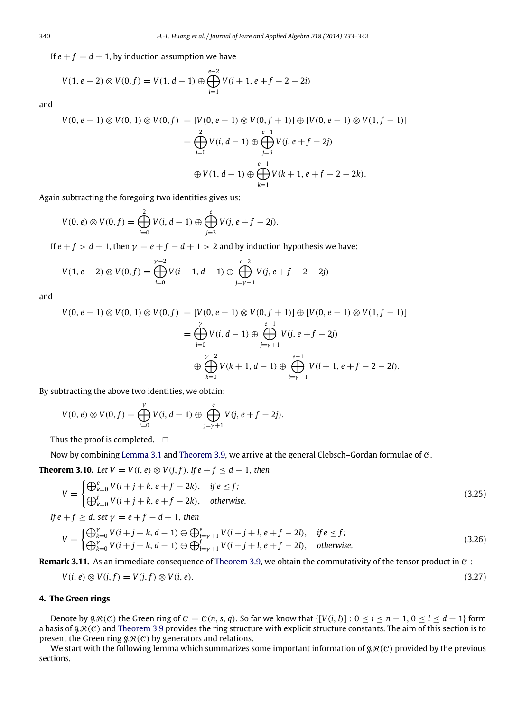If  $e + f = d + 1$ , by induction assumption we have

$$
V(1, e-2) \otimes V(0, f) = V(1, d-1) \oplus \bigoplus_{i=1}^{e-2} V(i+1, e+f-2-2i)
$$

and

$$
V(0, e - 1) \otimes V(0, 1) \otimes V(0, f) = [V(0, e - 1) \otimes V(0, f + 1)] \oplus [V(0, e - 1) \otimes V(1, f - 1)]
$$
  
= 
$$
\bigoplus_{i=0}^{2} V(i, d - 1) \oplus \bigoplus_{j=3}^{e-1} V(j, e + f - 2j)
$$
  

$$
\oplus V(1, d - 1) \oplus \bigoplus_{k=1}^{e-1} V(k + 1, e + f - 2 - 2k).
$$

Again subtracting the foregoing two identities gives us:

$$
V(0, e) \otimes V(0, f) = \bigoplus_{i=0}^{2} V(i, d-1) \oplus \bigoplus_{j=3}^{e} V(j, e+f-2j).
$$

If  $e + f > d + 1$ , then  $\gamma = e + f - d + 1 > 2$  and by induction hypothesis we have:

$$
V(1, e-2) \otimes V(0, f) = \bigoplus_{i=0}^{\gamma-2} V(i+1, d-1) \oplus \bigoplus_{j=\gamma-1}^{e-2} V(j, e+f-2-2j)
$$

and

$$
V(0, e - 1) \otimes V(0, 1) \otimes V(0, f) = [V(0, e - 1) \otimes V(0, f + 1)] \oplus [V(0, e - 1) \otimes V(1, f - 1)]
$$
  
= 
$$
\bigoplus_{i=0}^{y} V(i, d - 1) \oplus \bigoplus_{j=y+1}^{e-1} V(j, e + f - 2j)
$$
  

$$
\oplus \bigoplus_{k=0}^{y-2} V(k + 1, d - 1) \oplus \bigoplus_{l=y-1}^{e-1} V(l + 1, e + f - 2 - 2l).
$$

By subtracting the above two identities, we obtain:

$$
V(0, e) \otimes V(0, f) = \bigoplus_{i=0}^{\gamma} V(i, d-1) \oplus \bigoplus_{j=\gamma+1}^{e} V(j, e+f-2j).
$$

Thus the proof is completed.  $\square$ 

Now by combining [Lemma](#page-2-5) [3.1](#page-2-5) and [Theorem](#page-5-1) [3.9,](#page-5-1) we arrive at the general Clebsch–Gordan formulae of C.

**Theorem 3.10.** *Let*  $V = V(i, e) ⊗ V(j, f)$ . *If*  $e + f < d - 1$ , *then* 

$$
V = \begin{cases} \bigoplus_{k=0}^{e} V(i+j+k, e+f-2k), & \text{if } e \le f; \\ \bigoplus_{k=0}^{f} V(i+j+k, e+f-2k), & \text{otherwise.} \end{cases}
$$
\n(3.25)

*If*  $e + f > d$ , *set*  $\gamma = e + f - d + 1$ , *then* 

$$
V = \begin{cases} \bigoplus_{k=0}^{Y} V(i+j+k, d-1) \oplus \bigoplus_{l=y+1}^{e} V(i+j+l, e+f-2l), & \text{if } e \le f; \\ \bigoplus_{k=0}^{Y} V(i+j+k, d-1) \oplus \bigoplus_{l=y+1}^{f} V(i+j+l, e+f-2l), & \text{otherwise.} \end{cases}
$$
(3.26)

**Remark 3.11.** As an immediate consequence of [Theorem](#page-5-1) [3.9,](#page-5-1) we obtain the commutativity of the tensor product in  $C$ :

$$
V(i, e) \otimes V(j, f) = V(j, f) \otimes V(i, e). \tag{3.27}
$$

# <span id="page-7-0"></span>**4. The Green rings**

Denote by  $\mathcal{GR}(C)$  the Green ring of  $C = C(n, s, q)$ . So far we know that  $\{[V(i, l)] : 0 \le i \le n - 1, 0 \le l \le d - 1\}$  form a basis of  $\beta \mathcal{R}(C)$  and [Theorem](#page-5-1) [3.9](#page-5-1) provides the ring structure with explicit structure constants. The aim of this section is to present the Green ring  $\mathcal{GR}(C)$  by generators and relations.

<span id="page-7-1"></span>We start with the following lemma which summarizes some important information of  $\mathcal{GR}(C)$  provided by the previous sections.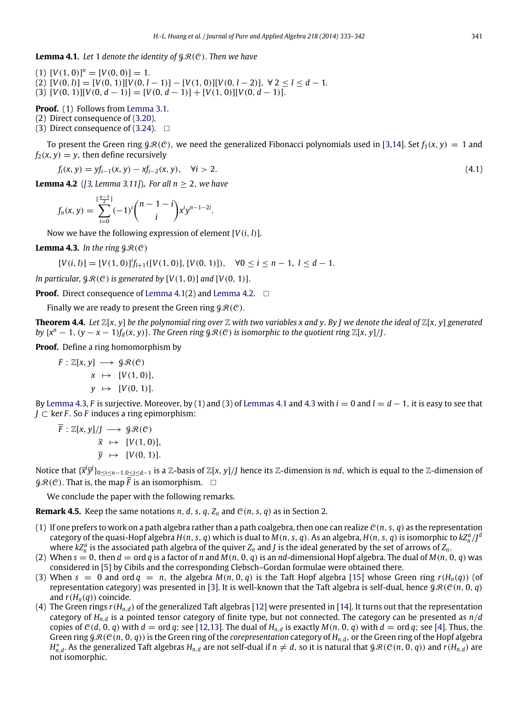**Lemma 4.1.** Let 1 denote the identity of  $\mathcal{R}(\mathcal{C})$ . Then we have

 $[V(1, 0)]^n = [V(0, 0)] = 1.$  $[V(0, l)] = [V(0, 1)][V(0, l - 1)] - [V(1, 0)][V(0, l - 2)]$ ,  $\forall 2 < l < d - 1$ . (3)  $[V(0, 1)][V(0, d-1)] = [V(0, d-1)] + [V(1, 0)][V(0, d-1)].$ 

# **Proof.** (1) Follows from [Lemma](#page-2-5) [3.1.](#page-2-5)

(2) Direct consequence of [\(3.20\)](#page-6-2).

(3) Direct consequence of  $(3.24)$ .  $\Box$ 

To present the Green ring  $\mathcal{GR}(\mathcal{C})$ , we need the generalized Fibonacci polynomials used in [\[3,](#page-9-6)[14\]](#page-9-7). Set  $f_1(x, y) = 1$  and  $f_2(x, y) = y$ , then define recursively

$$
f_i(x, y) = yf_{i-1}(x, y) - xf_{i-2}(x, y), \quad \forall i > 2.
$$
\n(4.1)

<span id="page-8-0"></span>**Lemma 4.2** (*[\[3,](#page-9-6) Lemma 3.11]*)**.** *For all n* ≥ 2, *we have*

$$
f_n(x, y) = \sum_{i=0}^{\lfloor \frac{n-1}{2} \rfloor} (-1)^i {n-1-i \choose i} x^i y^{n-1-2i}.
$$

Now we have the following expression of element [*V*(*i*, *l*)].

<span id="page-8-1"></span>**Lemma 4.3.** *In the ring*  $\mathcal{G}\mathcal{R}(C)$ 

 $[V(i, l)] = [V(1, 0)]^{i} f_{l+1}([V(1, 0)], [V(0, 1)]), \quad \forall 0 \le i \le n-1, l \le d-1.$ 

*In particular,*  $\mathcal{GR}(C)$  *is generated by*  $[V(1, 0)]$  *and*  $[V(0, 1)]$ .

**Proof.** Direct consequence of [Lemma](#page-8-0) [4.1\(](#page-7-1)2) and Lemma [4.2.](#page-8-0)  $\Box$ 

Finally we are ready to present the Green ring  $\mathcal{GR}(\mathcal{C})$ .

**Theorem 4.4.** Let  $\mathbb{Z}[x, y]$  be the polynomial ring over  $\mathbb{Z}$  with two variables x and y. By *J* we denote the ideal of  $\mathbb{Z}[x, y]$  generated *by*  $\{x^n - 1, (y - x - 1)f_d(x, y)\}$ . *The Green ring*  $\mathcal{GRC}(e)$  *is isomorphic to the quotient ring*  $\mathbb{Z}[x, y]/J$ .

**Proof.** Define a ring homomorphism by

$$
F: \mathbb{Z}[x, y] \longrightarrow \mathcal{G}\mathcal{R}(C)
$$

$$
x \mapsto [V(1, 0)],
$$

$$
y \mapsto [V(0, 1)].
$$

By [Lemma](#page-8-1) [4.3,](#page-8-1) *F* is surjective. Moreover, by (1) and (3) of [Lemmas](#page-7-1) [4.1](#page-7-1) and [4.3](#page-8-1) with *i* = 0 and *l* = *d* − 1, it is easy to see that *J* ⊂ ker *F* . So *F* induces a ring epimorphism:

$$
\overline{F} : \mathbb{Z}[x, y]/J \longrightarrow \mathcal{G}\mathcal{R}(C)
$$
  

$$
\overline{x} \mapsto [V(1, 0)],
$$
  

$$
\overline{y} \mapsto [V(0, 1)].
$$

Notice that {*x i y j* }0≤*i*≤*n*−1,0≤*j*≤*d*−<sup>1</sup> is a Z-basis of Z[*x*, *y*]/*J* hence its Z-dimension is *nd*, which is equal to the Z-dimension of  $\mathcal{GR}(C)$ . That is, the map  $\overline{F}$  is an isomorphism.  $\Box$ 

We conclude the paper with the following remarks.

**Remark 4.5.** Keep the same notations  $n$ ,  $d$ ,  $s$ ,  $q$ ,  $Z_n$  and  $\mathcal{C}(n, s, q)$  as in Section [2.](#page-1-0)

- (1) If one prefers to work on a path algebra rather than a path coalgebra, then one can realize  $\mathcal{C}(n, s, q)$  as the representation category of the quasi-Hopf algebra  $H(n, s, q)$  which is dual to  $M(n, s, q)$ . As an algebra,  $H(n, s, q)$  is isomorphic to  $kZ_n^a/J^a$ where  $kZ_n^a$  is the associated path algebra of the quiver  $Z_n$  and *J* is the ideal generated by the set of arrows of  $Z_n$ .
- (2) When  $s = 0$ , then  $d = \text{ord } q$  is a factor of *n* and  $M(n, 0, q)$  is an *nd*-dimensional Hopf algebra. The dual of  $M(n, 0, q)$  was considered in [\[5\]](#page-9-11) by Cibils and the corresponding Clebsch–Gordan formulae were obtained there.
- (3) When  $s = 0$  and ord  $q = n$ , the algebra  $M(n, 0, q)$  is the Taft Hopf algebra [\[15\]](#page-9-15) whose Green ring  $r(H_n(q))$  (of representation category) was presented in [\[3\]](#page-9-6). It is well-known that the Taft algebra is self-dual, hence  $\mathcal{GR}(\mathcal{C}(n, 0, q))$ and  $r(H_n(q))$  coincide.
- (4) The Green rings  $r(H_{n,d})$  of the generalized Taft algebras [\[12\]](#page-9-16) were presented in [\[14\]](#page-9-7). It turns out that the representation category of *Hn*,*<sup>d</sup>* is a pointed tensor category of finite type, but not connected. The category can be presented as *n*/*d* copies of  $C(d, 0, q)$  with  $d = \text{ord } q$ ; see [\[12,](#page-9-16)[13\]](#page-9-8). The dual of  $H_{n,d}$  is exactly  $M(n, 0, q)$  with  $d = \text{ord } q$ ; see [\[4\]](#page-9-17). Thus, the Green ring  $g \mathcal{R}(C(n, 0, q))$  is the Green ring of the *corepresentation* category of  $H_{n,d}$ , or the Green ring of the Hopf algebra  $H_{n,d}^*$ . As the generalized Taft algebras  $H_{n,d}$  are not self-dual if  $n \neq d$ , so it is natural that  $g \mathcal{R}(C(n,0,q))$  and  $r(H_{n,d})$  are not isomorphic.